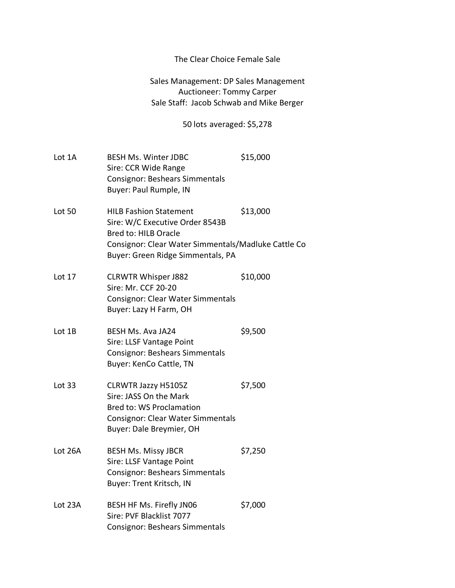## The Clear Choice Female Sale

## Sales Management: DP Sales Management Auctioneer: Tommy Carper Sale Staff: Jacob Schwab and Mike Berger

## 50 lots averaged: \$5,278

| Lot 1A        | <b>BESH Ms. Winter JDBC</b><br>Sire: CCR Wide Range<br><b>Consignor: Beshears Simmentals</b><br>Buyer: Paul Rumple, IN                                                               | \$15,000 |
|---------------|--------------------------------------------------------------------------------------------------------------------------------------------------------------------------------------|----------|
| <b>Lot 50</b> | <b>HILB Fashion Statement</b><br>Sire: W/C Executive Order 8543B<br>Bred to: HILB Oracle<br>Consignor: Clear Water Simmentals/Madluke Cattle Co<br>Buyer: Green Ridge Simmentals, PA | \$13,000 |
| Lot 17        | <b>CLRWTR Whisper J882</b><br>Sire: Mr. CCF 20-20<br><b>Consignor: Clear Water Simmentals</b><br>Buyer: Lazy H Farm, OH                                                              | \$10,000 |
| Lot 1B        | <b>BESH Ms. Ava JA24</b><br>Sire: LLSF Vantage Point<br><b>Consignor: Beshears Simmentals</b><br>Buyer: KenCo Cattle, TN                                                             | \$9,500  |
| Lot 33        | CLRWTR Jazzy H5105Z<br>Sire: JASS On the Mark<br><b>Bred to: WS Proclamation</b><br><b>Consignor: Clear Water Simmentals</b><br>Buyer: Dale Breymier, OH                             | \$7,500  |
| Lot 26A       | <b>BESH Ms. Missy JBCR</b><br>Sire: LLSF Vantage Point<br><b>Consignor: Beshears Simmentals</b><br>Buyer: Trent Kritsch, IN                                                          | \$7,250  |
| Lot 23A       | BESH HF Ms. Firefly JN06<br>Sire: PVF Blacklist 7077<br><b>Consignor: Beshears Simmentals</b>                                                                                        | \$7,000  |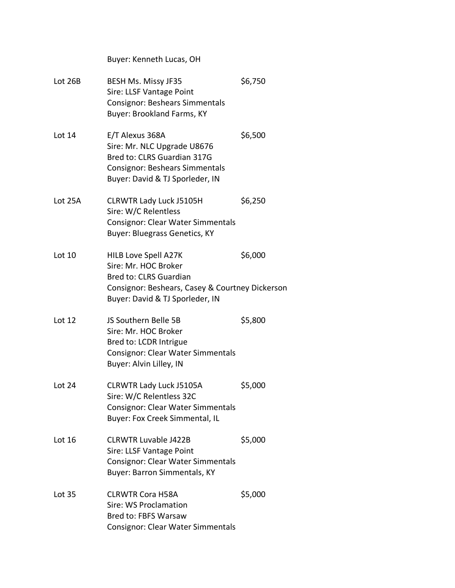Buyer: Kenneth Lucas, OH Lot 26B BESH Ms. Missy JF35 \$6,750 Sire: LLSF Vantage Point Consignor: Beshears Simmentals Buyer: Brookland Farms, KY Lot 14 E/T Alexus 368A \$6,500 Sire: Mr. NLC Upgrade U8676 Bred to: CLRS Guardian 317G Consignor: Beshears Simmentals Buyer: David & TJ Sporleder, IN Lot 25A CLRWTR Lady Luck J5105H \$6,250 Sire: W/C Relentless Consignor: Clear Water Simmentals Buyer: Bluegrass Genetics, KY Lot 10 HILB Love Spell A27K \$6,000 Sire: Mr. HOC Broker Bred to: CLRS Guardian Consignor: Beshears, Casey & Courtney Dickerson Buyer: David & TJ Sporleder, IN Lot 12 JS Southern Belle 5B \$5,800 Sire: Mr. HOC Broker Bred to: LCDR Intrigue Consignor: Clear Water Simmentals Buyer: Alvin Lilley, IN Lot 24 CLRWTR Lady Luck J5105A \$5,000 Sire: W/C Relentless 32C Consignor: Clear Water Simmentals Buyer: Fox Creek Simmental, IL Lot 16 CLRWTR Luvable J422B \$5,000 Sire: LLSF Vantage Point Consignor: Clear Water Simmentals Buyer: Barron Simmentals, KY Lot 35 CLRWTR Cora H58A \$5,000 Sire: WS Proclamation Bred to: FBFS Warsaw Consignor: Clear Water Simmentals